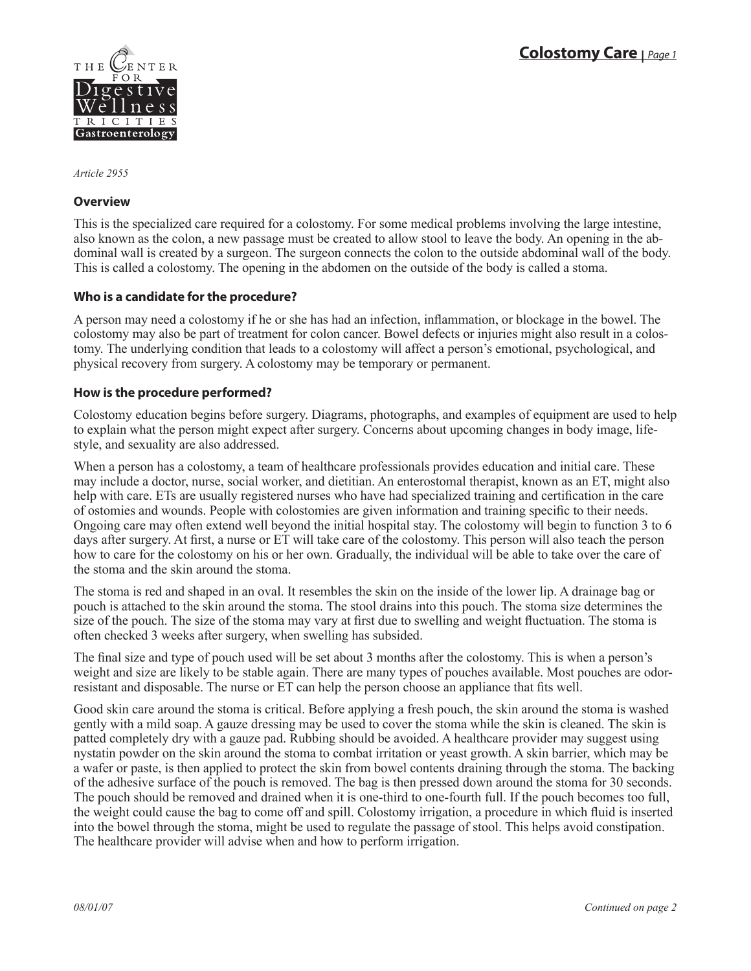

*Article 2955*

### **Overview**

This is the specialized care required for a colostomy. For some medical problems involving the large intestine, also known as the colon, a new passage must be created to allow stool to leave the body. An opening in the abdominal wall is created by a surgeon. The surgeon connects the colon to the outside abdominal wall of the body. This is called a colostomy. The opening in the abdomen on the outside of the body is called a stoma.

# **Who is a candidate for the procedure?**

A person may need a colostomy if he or she has had an infection, inflammation, or blockage in the bowel. The colostomy may also be part of treatment for colon cancer. Bowel defects or injuries might also result in a colostomy. The underlying condition that leads to a colostomy will affect a person's emotional, psychological, and physical recovery from surgery. A colostomy may be temporary or permanent.

### **How is the procedure performed?**

Colostomy education begins before surgery. Diagrams, photographs, and examples of equipment are used to help to explain what the person might expect after surgery. Concerns about upcoming changes in body image, lifestyle, and sexuality are also addressed.

When a person has a colostomy, a team of healthcare professionals provides education and initial care. These may include a doctor, nurse, social worker, and dietitian. An enterostomal therapist, known as an ET, might also help with care. ETs are usually registered nurses who have had specialized training and certification in the care of ostomies and wounds. People with colostomies are given information and training specific to their needs. Ongoing care may often extend well beyond the initial hospital stay. The colostomy will begin to function 3 to 6 days after surgery. At first, a nurse or ET will take care of the colostomy. This person will also teach the person how to care for the colostomy on his or her own. Gradually, the individual will be able to take over the care of the stoma and the skin around the stoma.

The stoma is red and shaped in an oval. It resembles the skin on the inside of the lower lip. A drainage bag or pouch is attached to the skin around the stoma. The stool drains into this pouch. The stoma size determines the size of the pouch. The size of the stoma may vary at first due to swelling and weight fluctuation. The stoma is often checked 3 weeks after surgery, when swelling has subsided.

The final size and type of pouch used will be set about 3 months after the colostomy. This is when a person's weight and size are likely to be stable again. There are many types of pouches available. Most pouches are odorresistant and disposable. The nurse or ET can help the person choose an appliance that fits well.

Good skin care around the stoma is critical. Before applying a fresh pouch, the skin around the stoma is washed gently with a mild soap. A gauze dressing may be used to cover the stoma while the skin is cleaned. The skin is patted completely dry with a gauze pad. Rubbing should be avoided. A healthcare provider may suggest using nystatin powder on the skin around the stoma to combat irritation or yeast growth. A skin barrier, which may be a wafer or paste, is then applied to protect the skin from bowel contents draining through the stoma. The backing of the adhesive surface of the pouch is removed. The bag is then pressed down around the stoma for 30 seconds. The pouch should be removed and drained when it is one-third to one-fourth full. If the pouch becomes too full, the weight could cause the bag to come off and spill. Colostomy irrigation, a procedure in which fluid is inserted into the bowel through the stoma, might be used to regulate the passage of stool. This helps avoid constipation. The healthcare provider will advise when and how to perform irrigation.